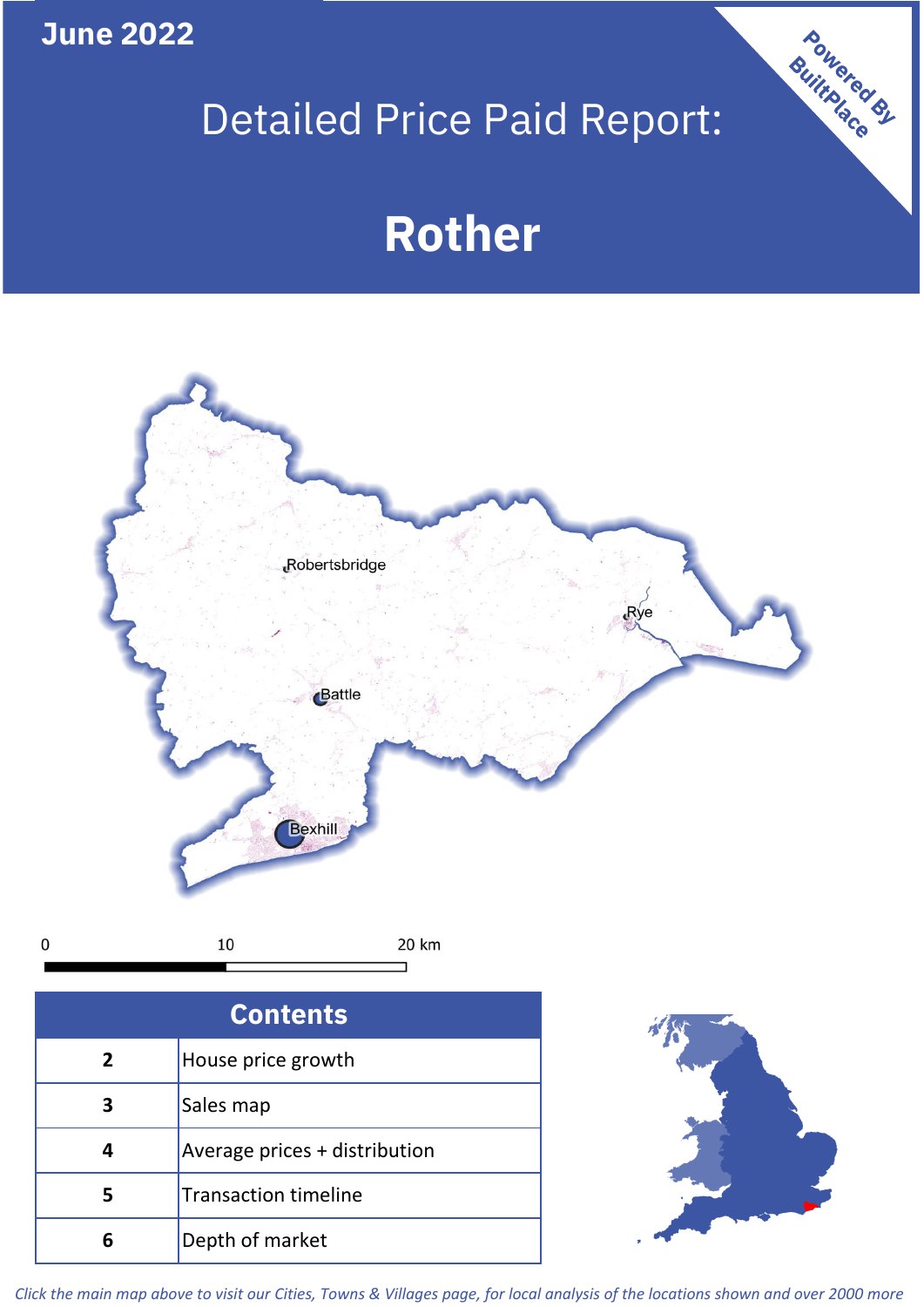**June 2022**

**5**

**4**

**3**

Sales map

**6** Depth of market

Average prices + distribution

Transaction timeline

# Detailed Price Paid Report:

Powered By

# **Rother**



*Click the main map above to visit our Cities, Towns & Villages page, for local analysis of the locations shown and over 2000 more*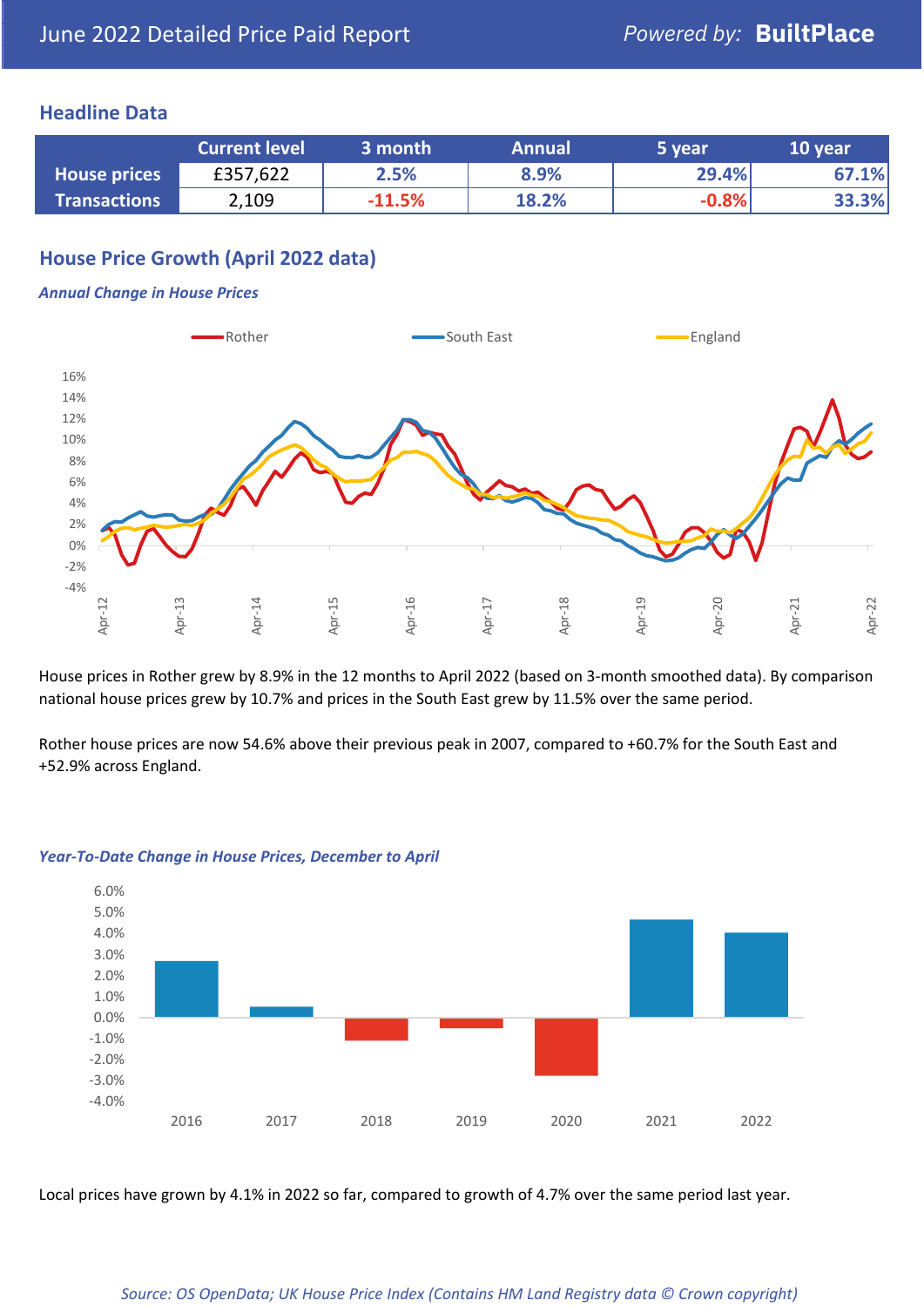#### **Headline Data**

|                     | <b>Current level</b> | 3 month  | <b>Annual</b> | 5 year  | 10 year |
|---------------------|----------------------|----------|---------------|---------|---------|
| <b>House prices</b> | £357,622             | 2.5%     | 8.9%          | 29.4%   | 67.1%   |
| <b>Transactions</b> | 2,109                | $-11.5%$ | 18.2%         | $-0.8%$ | 33.3%   |

# **House Price Growth (April 2022 data)**

#### *Annual Change in House Prices*



House prices in Rother grew by 8.9% in the 12 months to April 2022 (based on 3-month smoothed data). By comparison national house prices grew by 10.7% and prices in the South East grew by 11.5% over the same period.

Rother house prices are now 54.6% above their previous peak in 2007, compared to +60.7% for the South East and +52.9% across England.



#### *Year-To-Date Change in House Prices, December to April*

Local prices have grown by 4.1% in 2022 so far, compared to growth of 4.7% over the same period last year.

#### *Source: OS OpenData; UK House Price Index (Contains HM Land Registry data © Crown copyright)*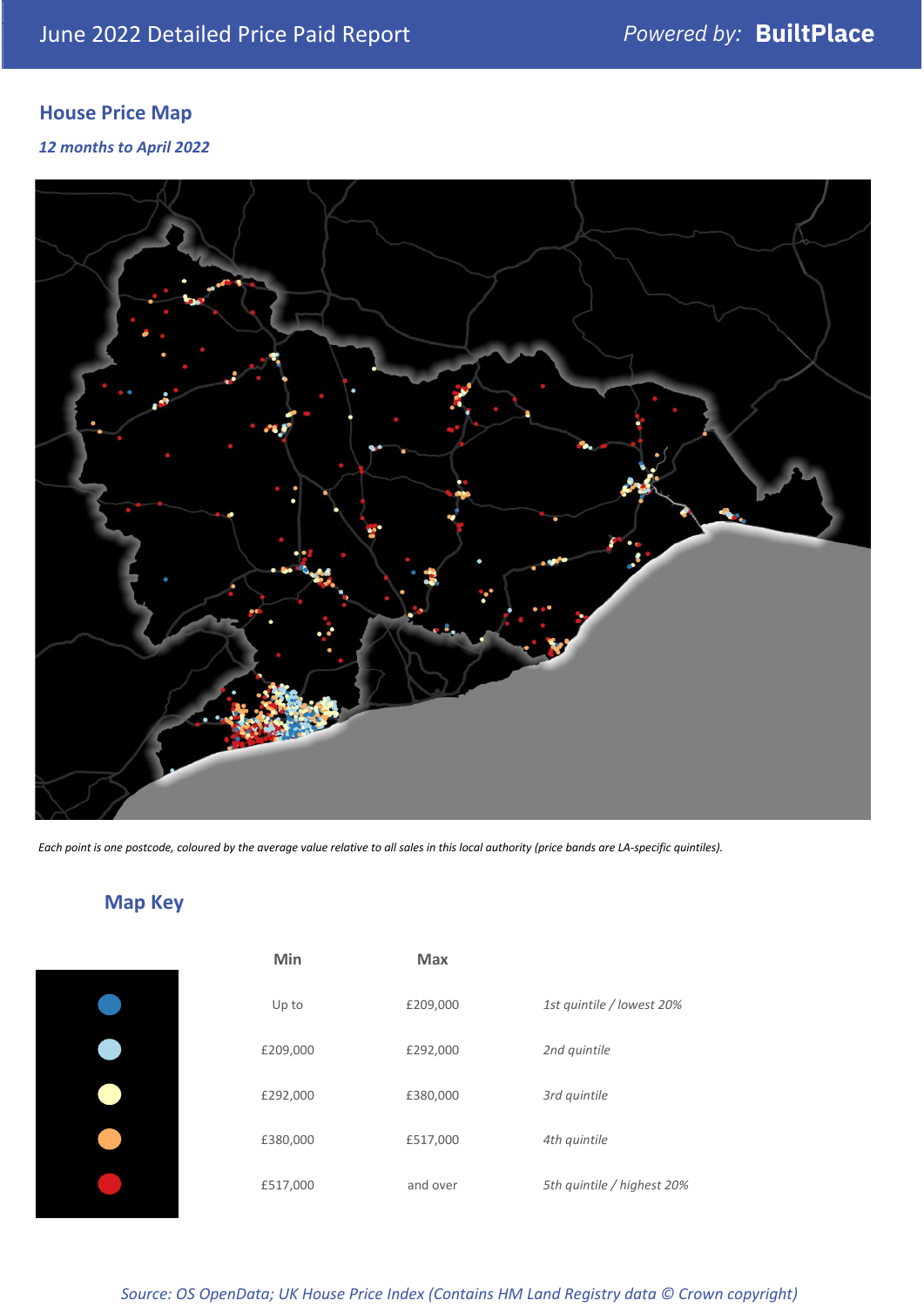# **House Price Map**

#### *12 months to April 2022*



*Each point is one postcode, coloured by the average value relative to all sales in this local authority (price bands are LA-specific quintiles).*

**Map Key**

| Min      | <b>Max</b> |                            |
|----------|------------|----------------------------|
| Up to    | £209,000   | 1st quintile / lowest 20%  |
| £209,000 | £292,000   | 2nd quintile               |
| £292,000 | £380,000   | 3rd quintile               |
| £380,000 | £517,000   | 4th quintile               |
| £517,000 | and over   | 5th quintile / highest 20% |

#### *Source: OS OpenData; UK House Price Index (Contains HM Land Registry data © Crown copyright)*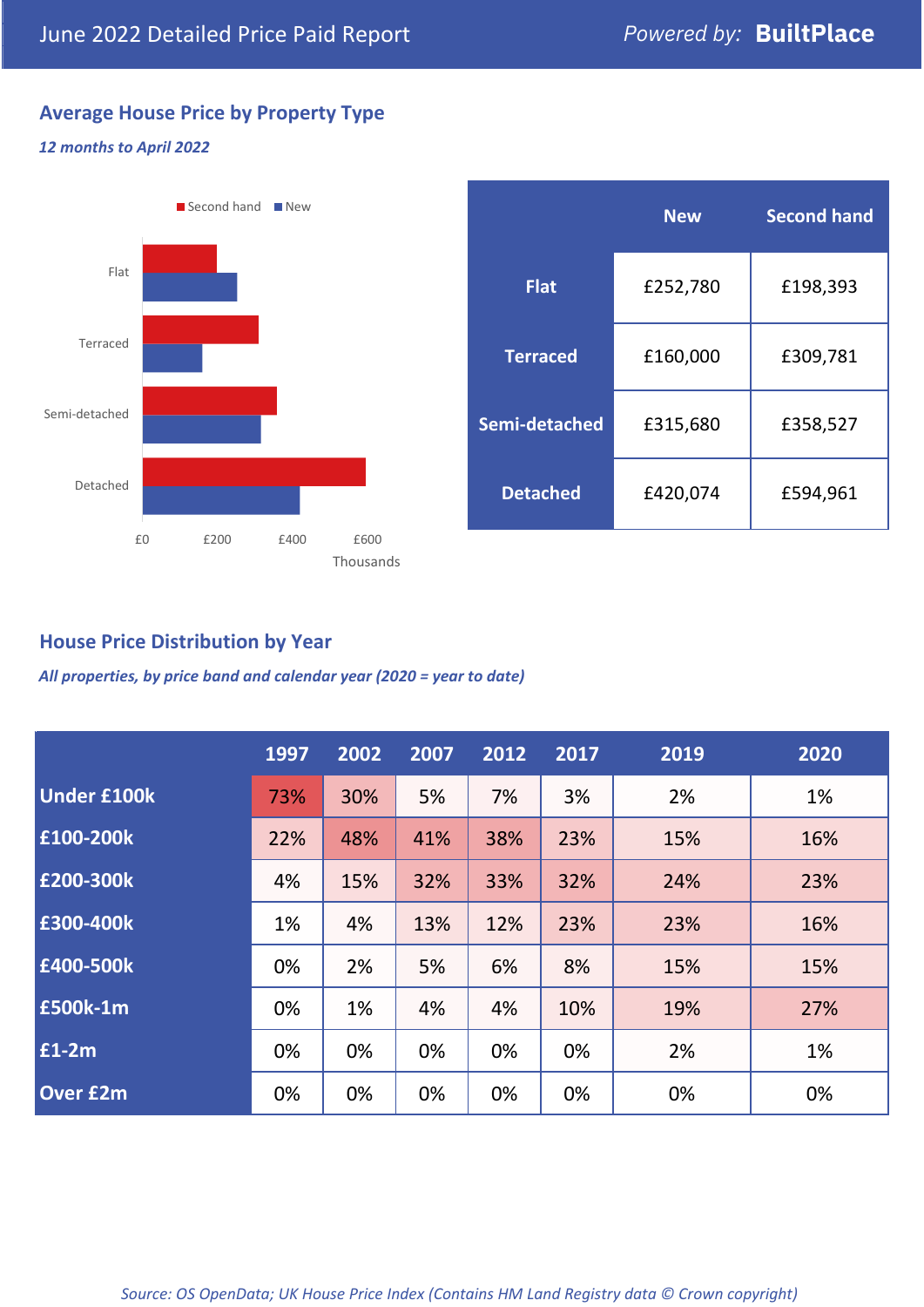# **Average House Price by Property Type**

#### *12 months to April 2022*



|                 | <b>New</b> | <b>Second hand</b> |  |
|-----------------|------------|--------------------|--|
| <b>Flat</b>     | £252,780   | £198,393           |  |
| <b>Terraced</b> | £160,000   | £309,781           |  |
| Semi-detached   | £315,680   | £358,527           |  |
| <b>Detached</b> | £420,074   | £594,961           |  |

## **House Price Distribution by Year**

*All properties, by price band and calendar year (2020 = year to date)*

|                    | 1997 | 2002 | 2007 | 2012 | 2017 | 2019 | 2020 |
|--------------------|------|------|------|------|------|------|------|
| <b>Under £100k</b> | 73%  | 30%  | 5%   | 7%   | 3%   | 2%   | 1%   |
| £100-200k          | 22%  | 48%  | 41%  | 38%  | 23%  | 15%  | 16%  |
| E200-300k          | 4%   | 15%  | 32%  | 33%  | 32%  | 24%  | 23%  |
| £300-400k          | 1%   | 4%   | 13%  | 12%  | 23%  | 23%  | 16%  |
| £400-500k          | 0%   | 2%   | 5%   | 6%   | 8%   | 15%  | 15%  |
| <b>£500k-1m</b>    | 0%   | 1%   | 4%   | 4%   | 10%  | 19%  | 27%  |
| £1-2m              | 0%   | 0%   | 0%   | 0%   | 0%   | 2%   | 1%   |
| <b>Over £2m</b>    | 0%   | 0%   | 0%   | 0%   | 0%   | 0%   | 0%   |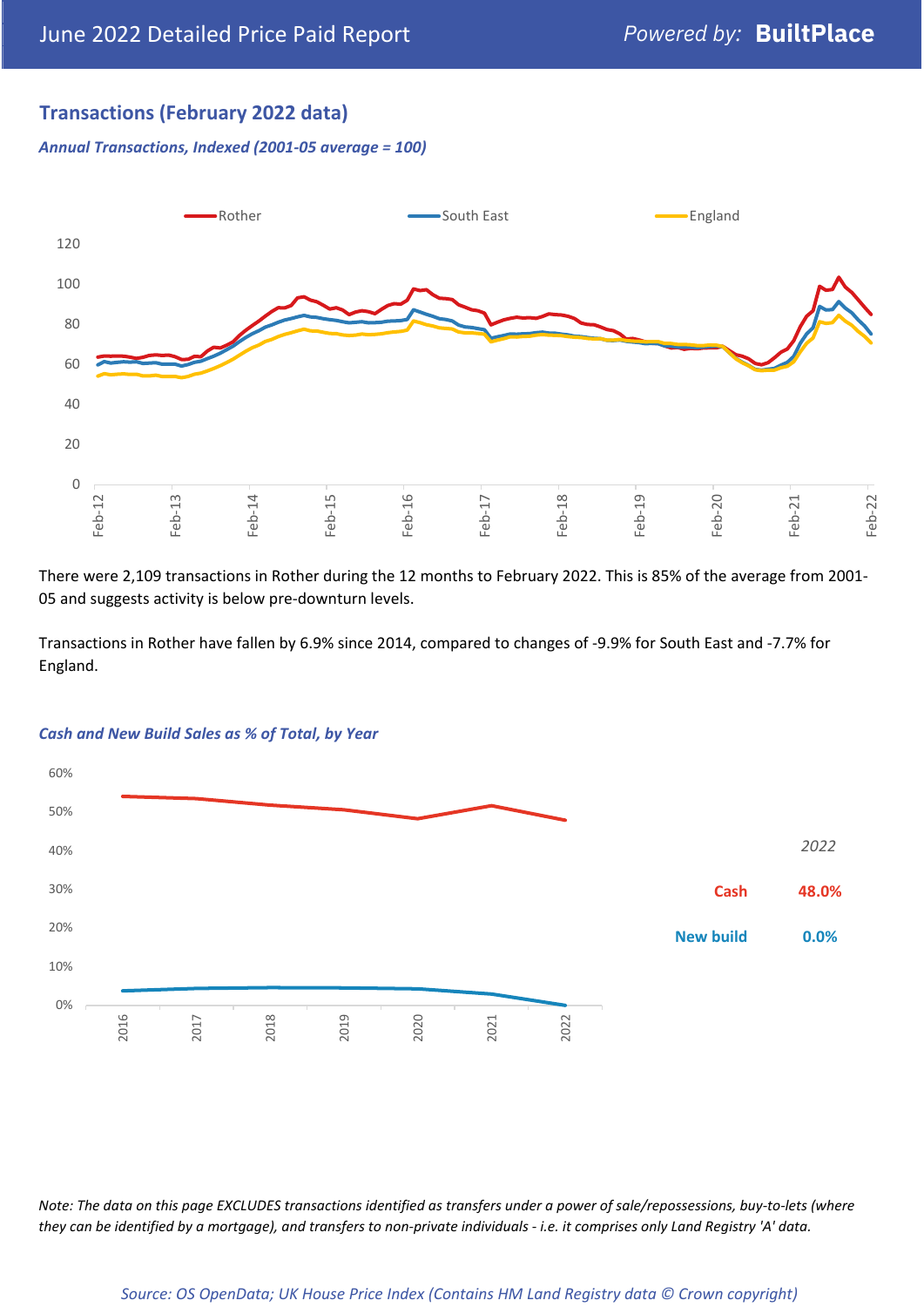# **Transactions (February 2022 data)**

*Annual Transactions, Indexed (2001-05 average = 100)*



There were 2,109 transactions in Rother during the 12 months to February 2022. This is 85% of the average from 2001- 05 and suggests activity is below pre-downturn levels.

Transactions in Rother have fallen by 6.9% since 2014, compared to changes of -9.9% for South East and -7.7% for England.



#### *Cash and New Build Sales as % of Total, by Year*

*Note: The data on this page EXCLUDES transactions identified as transfers under a power of sale/repossessions, buy-to-lets (where they can be identified by a mortgage), and transfers to non-private individuals - i.e. it comprises only Land Registry 'A' data.*